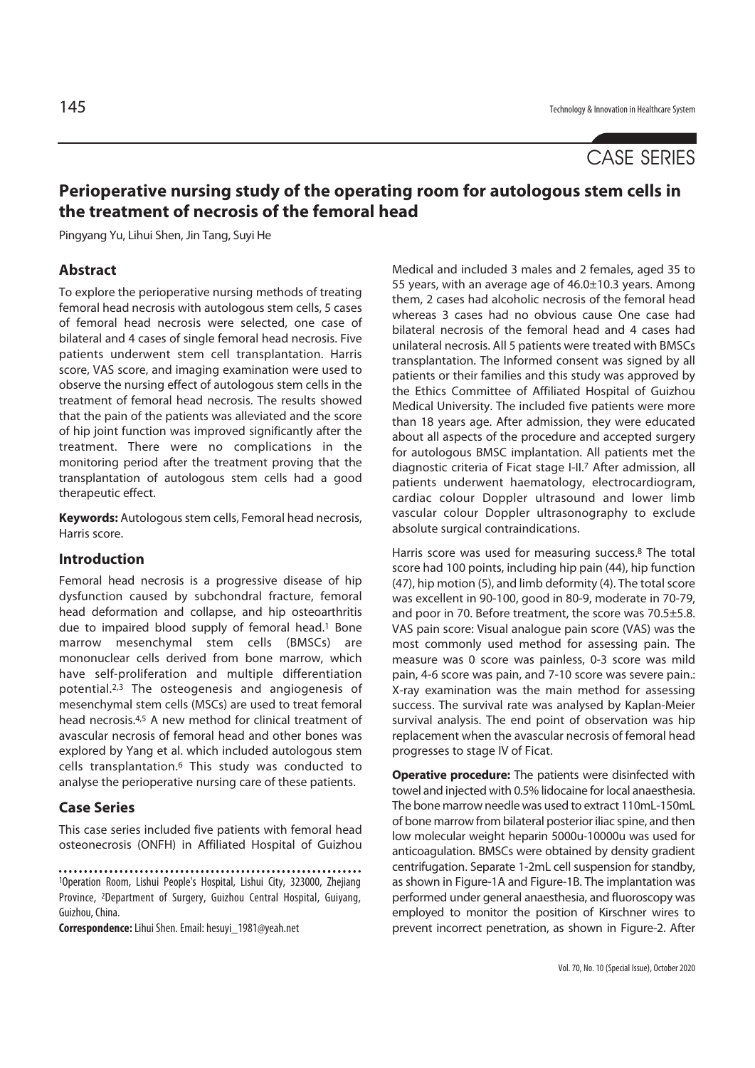# CASE SERIES

# **Perioperative nursing study of the operating room for autologous stem cells in the treatment of necrosis of the femoral head**

Pingyang Yu, Lihui Shen, Jin Tang, Suyi He

#### **Abstract**

To explore the perioperative nursing methods of treating femoral head necrosis with autologous stem cells, 5 cases of femoral head necrosis were selected, one case of bilateral and 4 cases of single femoral head necrosis. Five patients underwent stem cell transplantation. Harris score, VAS score, and imaging examination were used to observe the nursing effect of autologous stem cells in the treatment of femoral head necrosis. The results showed that the pain of the patients was alleviated and the score of hip joint function was improved significantly after the treatment. There were no complications in the monitoring period after the treatment proving that the transplantation of autologous stem cells had a good therapeutic effect.

**Keywords:** Autologous stem cells, Femoral head necrosis, Harris score.

#### **Introduction**

Femoral head necrosis is a progressive disease of hip dysfunction caused by subchondral fracture, femoral head deformation and collapse, and hip osteoarthritis due to impaired blood supply of femoral head.<sup>1</sup> Bone marrow mesenchymal stem cells (BMSCs) are mononuclear cells derived from bone marrow, which have self-proliferation and multiple differentiation potential.2,3 The osteogenesis and angiogenesis of mesenchymal stem cells (MSCs) are used to treat femoral head necrosis.4,5 A new method for clinical treatment of avascular necrosis of femoral head and other bones was explored by Yang et al. which included autologous stem cells transplantation.6 This study was conducted to analyse the perioperative nursing care of these patients.

#### **Case Series**

This case series included five patients with femoral head osteonecrosis (ONFH) in Affiliated Hospital of Guizhou

**Correspondence:** Lihui Shen. Email: hesuyi\_1981@yeah.net

Medical and included 3 males and 2 females, aged 35 to 55 years, with an average age of 46.0±10.3 years. Among them, 2 cases had alcoholic necrosis of the femoral head whereas 3 cases had no obvious cause One case had bilateral necrosis of the femoral head and 4 cases had unilateral necrosis. All 5 patients were treated with BMSCs transplantation. The Informed consent was signed by all patients or their families and this study was approved by the Ethics Committee of Affiliated Hospital of Guizhou Medical University. The included five patients were more than 18 years age. After admission, they were educated about all aspects of the procedure and accepted surgery for autologous BMSC implantation. All patients met the diagnostic criteria of Ficat stage I-II.7 After admission, all patients underwent haematology, electrocardiogram, cardiac colour Doppler ultrasound and lower limb vascular colour Doppler ultrasonography to exclude absolute surgical contraindications.

Harris score was used for measuring success.<sup>8</sup> The total score had 100 points, including hip pain (44), hip function (47), hip motion (5), and limb deformity (4). The total score was excellent in 90-100, good in 80-9, moderate in 70-79, and poor in 70. Before treatment, the score was 70.5±5.8. VAS pain score: Visual analogue pain score (VAS) was the most commonly used method for assessing pain. The measure was 0 score was painless, 0-3 score was mild pain, 4-6 score was pain, and 7-10 score was severe pain.: X-ray examination was the main method for assessing success. The survival rate was analysed by Kaplan-Meier survival analysis. The end point of observation was hip replacement when the avascular necrosis of femoral head progresses to stage IV of Ficat.

**Operative procedure:** The patients were disinfected with towel and injected with 0.5% lidocaine for local anaesthesia. The bone marrow needle was used to extract 110mL-150mL of bone marrow from bilateral posterior iliac spine, and then low molecular weight heparin 5000u-10000u was used for anticoagulation. BMSCs were obtained by density gradient centrifugation. Separate 1-2mL cell suspension for standby, as shown in Figure-1A and Figure-1B. The implantation was performed under general anaesthesia, and fluoroscopy was employed to monitor the position of Kirschner wires to prevent incorrect penetration, as shown in Figure-2. After

<sup>1</sup>Operation Room, Lishui People's Hospital, Lishui City, 323000, Zhejiang Province, 2Department of Surgery, Guizhou Central Hospital, Guiyang, Guizhou, China.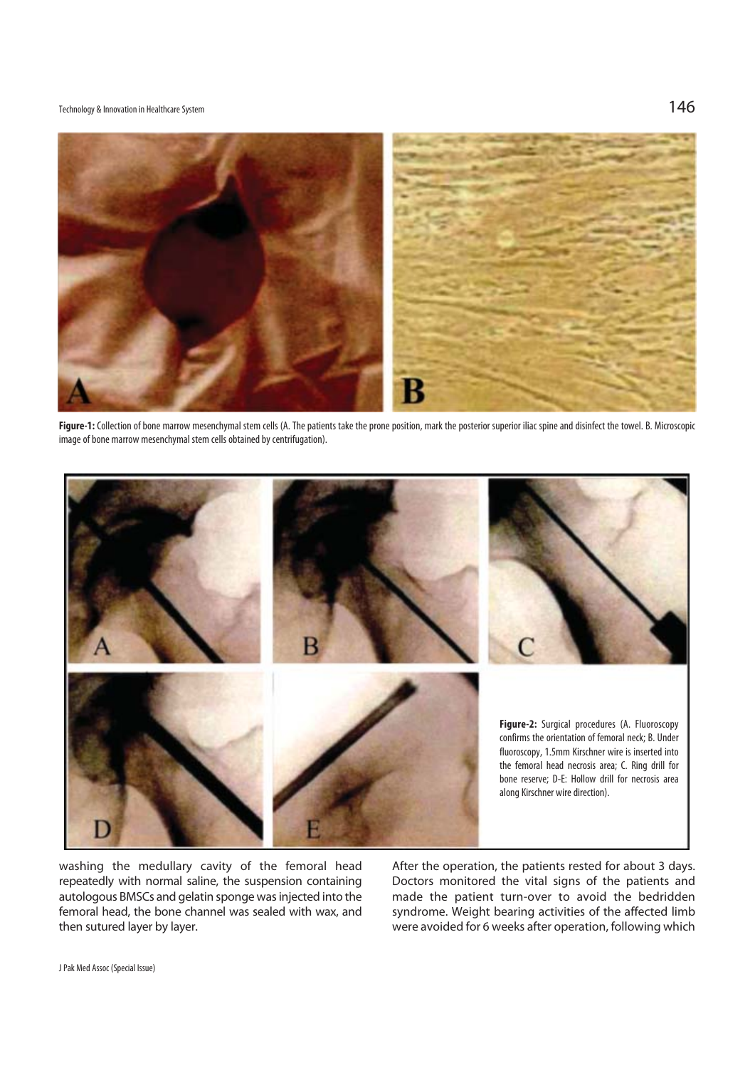## Technology & Innovation in Healthcare System  $146$



Figure-1: Collection of bone marrow mesenchymal stem cells (A. The patients take the prone position, mark the posterior superior iliac spine and disinfect the towel. B. Microscopic image of bone marrow mesenchymal stem cells obtained by centrifugation).



washing the medullary cavity of the femoral head repeatedly with normal saline, the suspension containing autologous BMSCs and gelatin sponge was injected into the femoral head, the bone channel was sealed with wax, and then sutured layer by layer.

After the operation, the patients rested for about 3 days. Doctors monitored the vital signs of the patients and made the patient turn-over to avoid the bedridden syndrome. Weight bearing activities of the affected limb were avoided for 6 weeks after operation, following which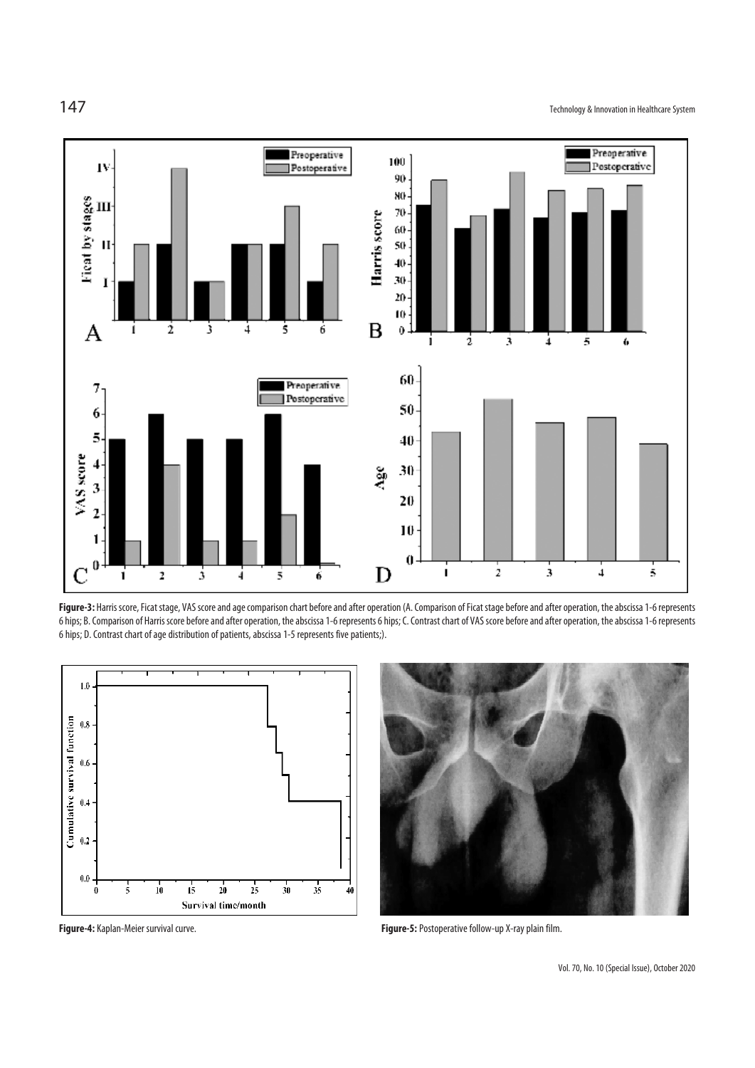

**Figure-3:** Harris score, Ficat stage, VAS score and age comparison chart before and after operation (A. Comparison of Ficat stage before and after operation, the abscissa 1-6 represents 6 hips; B. Comparison of Harris score before and after operation, the abscissa 1-6 represents 6 hips; C. Contrast chart of VAS score before and after operation, the abscissa 1-6 represents 6 hips; D. Contrast chart of age distribution of patients, abscissa 1-5 represents five patients;).





**Figure-4:** Kaplan-Meier survival curve. **Figure-5:** Postoperative follow-up X-ray plain film.